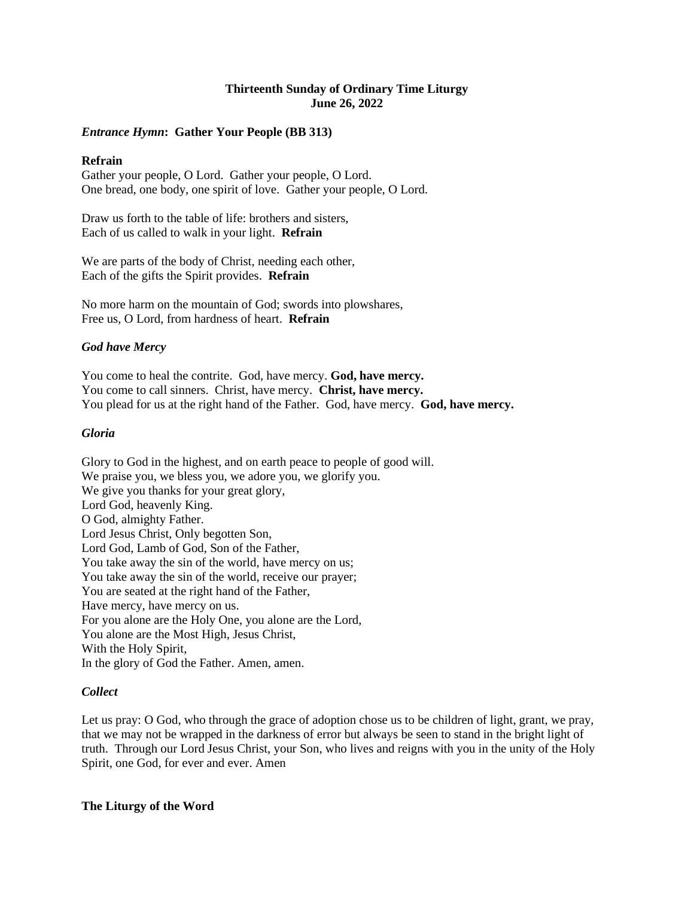# **Thirteenth Sunday of Ordinary Time Liturgy June 26, 2022**

# *Entrance Hymn***: Gather Your People (BB 313)**

## **Refrain**

Gather your people, O Lord. Gather your people, O Lord. One bread, one body, one spirit of love. Gather your people, O Lord.

Draw us forth to the table of life: brothers and sisters, Each of us called to walk in your light. **Refrain**

We are parts of the body of Christ, needing each other, Each of the gifts the Spirit provides. **Refrain**

No more harm on the mountain of God; swords into plowshares, Free us, O Lord, from hardness of heart. **Refrain**

## *God have Mercy*

You come to heal the contrite. God, have mercy. **God, have mercy.** You come to call sinners. Christ, have mercy. **Christ, have mercy.** You plead for us at the right hand of the Father. God, have mercy. **God, have mercy.**

## *Gloria*

Glory to God in the highest, and on earth peace to people of good will. We praise you, we bless you, we adore you, we glorify you. We give you thanks for your great glory, Lord God, heavenly King. O God, almighty Father. Lord Jesus Christ, Only begotten Son, Lord God, Lamb of God, Son of the Father, You take away the sin of the world, have mercy on us; You take away the sin of the world, receive our prayer; You are seated at the right hand of the Father, Have mercy, have mercy on us. For you alone are the Holy One, you alone are the Lord, You alone are the Most High, Jesus Christ, With the Holy Spirit, In the glory of God the Father. Amen, amen.

## *Collect*

Let us pray: O God, who through the grace of adoption chose us to be children of light, grant, we pray, that we may not be wrapped in the darkness of error but always be seen to stand in the bright light of truth. Through our Lord Jesus Christ, your Son, who lives and reigns with you in the unity of the Holy Spirit, one God, for ever and ever. Amen

**The Liturgy of the Word**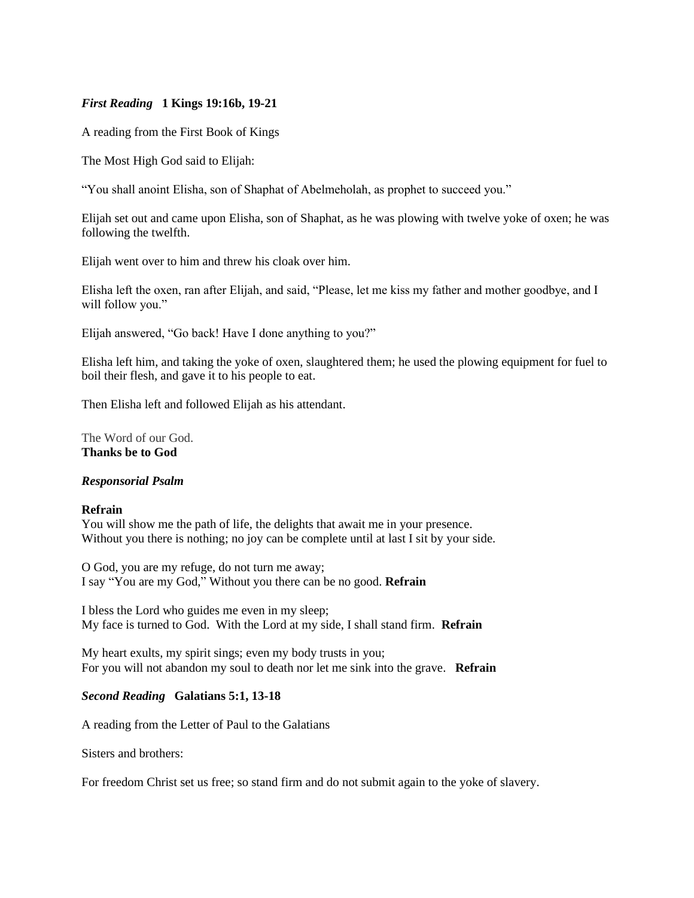# *First Reading* **1 Kings 19:16b, 19-21**

A reading from the First Book of Kings

The Most High God said to Elijah:

"You shall anoint Elisha, son of Shaphat of Abelmeholah, as prophet to succeed you."

Elijah set out and came upon Elisha, son of Shaphat, as he was plowing with twelve yoke of oxen; he was following the twelfth.

Elijah went over to him and threw his cloak over him.

Elisha left the oxen, ran after Elijah, and said, "Please, let me kiss my father and mother goodbye, and I will follow you."

Elijah answered, "Go back! Have I done anything to you?"

Elisha left him, and taking the yoke of oxen, slaughtered them; he used the plowing equipment for fuel to boil their flesh, and gave it to his people to eat.

Then Elisha left and followed Elijah as his attendant.

The Word of our God. **Thanks be to God**

### *Responsorial Psalm*

### **Refrain**

You will show me the path of life, the delights that await me in your presence. Without you there is nothing; no joy can be complete until at last I sit by your side.

O God, you are my refuge, do not turn me away; I say "You are my God," Without you there can be no good. **Refrain**

I bless the Lord who guides me even in my sleep; My face is turned to God. With the Lord at my side, I shall stand firm. **Refrain**

My heart exults, my spirit sings; even my body trusts in you; For you will not abandon my soul to death nor let me sink into the grave. **Refrain**

### *Second Reading* **Galatians 5:1, 13-18**

A reading from the Letter of Paul to the Galatians

Sisters and brothers:

For freedom Christ set us free; so stand firm and do not submit again to the yoke of slavery.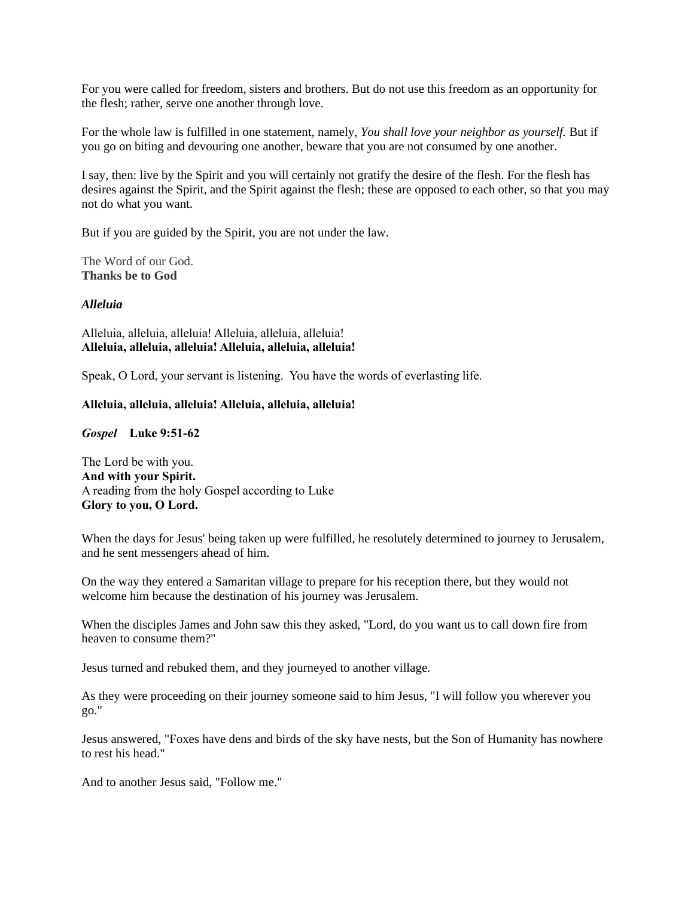For you were called for freedom, sisters and brothers. But do not use this freedom as an opportunity for the flesh; rather, serve one another through love.

For the whole law is fulfilled in one statement, namely, *You shall love your neighbor as yourself.* But if you go on biting and devouring one another, beware that you are not consumed by one another.

I say, then: live by the Spirit and you will certainly not gratify the desire of the flesh. For the flesh has desires against the Spirit, and the Spirit against the flesh; these are opposed to each other, so that you may not do what you want.

But if you are guided by the Spirit, you are not under the law.

The Word of our God. **Thanks be to God**

### *Alleluia*

Alleluia, alleluia, alleluia! Alleluia, alleluia, alleluia! **Alleluia, alleluia, alleluia! Alleluia, alleluia, alleluia!**

Speak, O Lord, your servant is listening. You have the words of everlasting life.

### **Alleluia, alleluia, alleluia! Alleluia, alleluia, alleluia!**

*Gospel* **Luke 9:51-62**

The Lord be with you. **And with your Spirit.** A reading from the holy Gospel according to Luke **Glory to you, O Lord.**

When the days for Jesus' being taken up were fulfilled, he resolutely determined to journey to Jerusalem, and he sent messengers ahead of him.

On the way they entered a Samaritan village to prepare for his reception there, but they would not welcome him because the destination of his journey was Jerusalem.

When the disciples James and John saw this they asked, "Lord, do you want us to call down fire from heaven to consume them?"

Jesus turned and rebuked them, and they journeyed to another village.

As they were proceeding on their journey someone said to him Jesus, "I will follow you wherever you go."

Jesus answered, "Foxes have dens and birds of the sky have nests, but the Son of Humanity has nowhere to rest his head."

And to another Jesus said, "Follow me."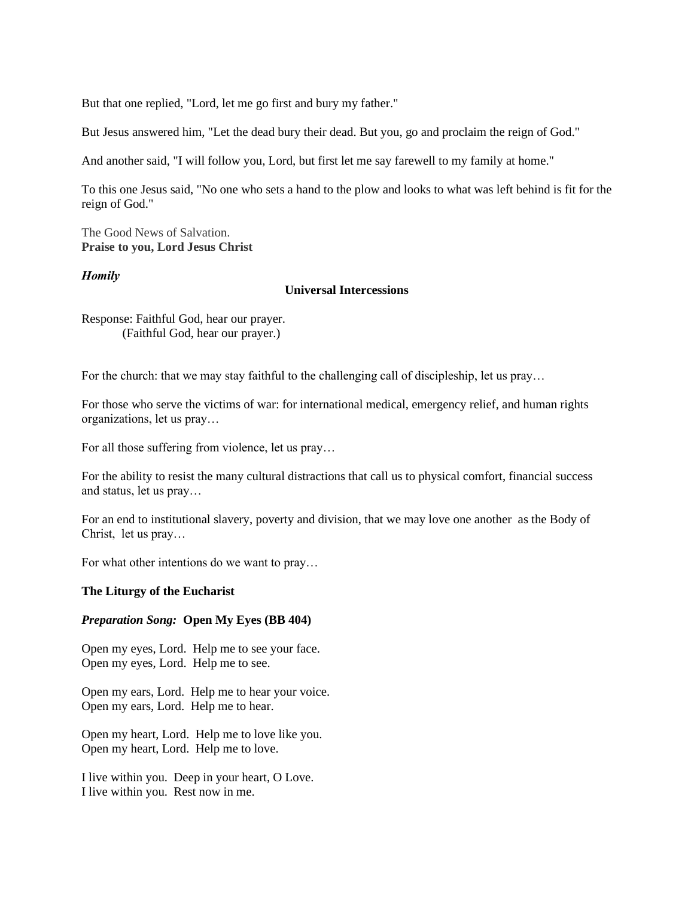But that one replied, "Lord, let me go first and bury my father."

But Jesus answered him, "Let the dead bury their dead. But you, go and proclaim the reign of God."

And another said, "I will follow you, Lord, but first let me say farewell to my family at home."

To this one Jesus said, "No one who sets a hand to the plow and looks to what was left behind is fit for the reign of God."

The Good News of Salvation. **Praise to you, Lord Jesus Christ**

### *Homily*

### **Universal Intercessions**

Response: Faithful God, hear our prayer. (Faithful God, hear our prayer.)

For the church: that we may stay faithful to the challenging call of discipleship, let us pray…

For those who serve the victims of war: for international medical, emergency relief, and human rights organizations, let us pray…

For all those suffering from violence, let us pray…

For the ability to resist the many cultural distractions that call us to physical comfort, financial success and status, let us pray…

For an end to institutional slavery, poverty and division, that we may love one another as the Body of Christ, let us pray…

For what other intentions do we want to pray…

## **The Liturgy of the Eucharist**

### *Preparation Song:* **Open My Eyes (BB 404)**

Open my eyes, Lord. Help me to see your face. Open my eyes, Lord. Help me to see.

Open my ears, Lord. Help me to hear your voice. Open my ears, Lord. Help me to hear.

Open my heart, Lord. Help me to love like you. Open my heart, Lord. Help me to love.

I live within you. Deep in your heart, O Love. I live within you. Rest now in me.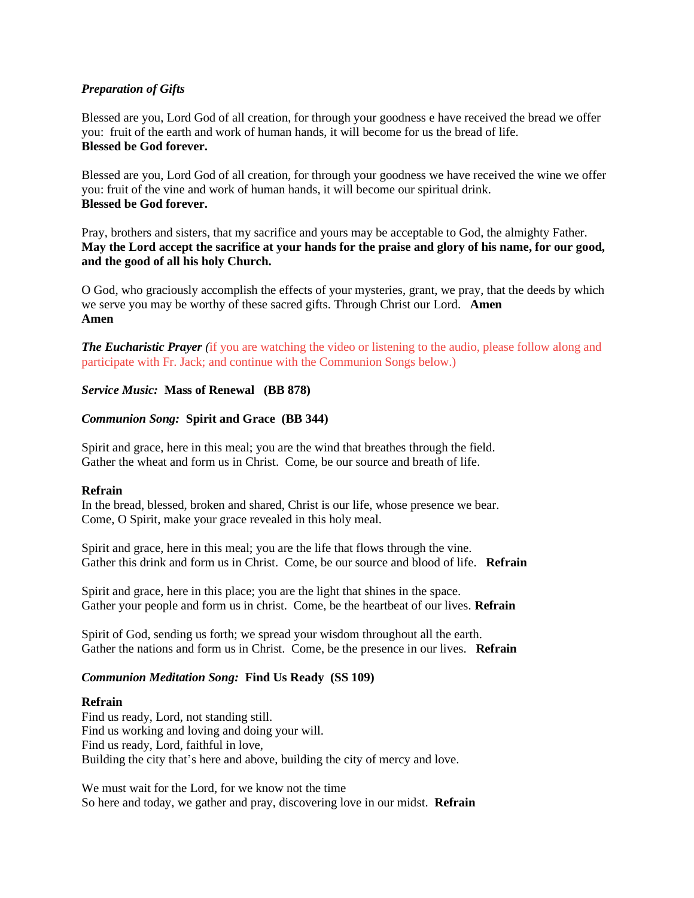# *Preparation of Gifts*

Blessed are you, Lord God of all creation, for through your goodness e have received the bread we offer you: fruit of the earth and work of human hands, it will become for us the bread of life. **Blessed be God forever.**

Blessed are you, Lord God of all creation, for through your goodness we have received the wine we offer you: fruit of the vine and work of human hands, it will become our spiritual drink. **Blessed be God forever.**

Pray, brothers and sisters, that my sacrifice and yours may be acceptable to God, the almighty Father. **May the Lord accept the sacrifice at your hands for the praise and glory of his name, for our good, and the good of all his holy Church.**

O God, who graciously accomplish the effects of your mysteries, grant, we pray, that the deeds by which we serve you may be worthy of these sacred gifts. Through Christ our Lord. **Amen Amen**

*The Eucharistic Prayer* (if you are watching the video or listening to the audio, please follow along and participate with Fr. Jack; and continue with the Communion Songs below.)

## *Service Music:* **Mass of Renewal (BB 878)**

## *Communion Song:* **Spirit and Grace (BB 344)**

Spirit and grace, here in this meal; you are the wind that breathes through the field. Gather the wheat and form us in Christ. Come, be our source and breath of life.

## **Refrain**

In the bread, blessed, broken and shared, Christ is our life, whose presence we bear. Come, O Spirit, make your grace revealed in this holy meal.

Spirit and grace, here in this meal; you are the life that flows through the vine. Gather this drink and form us in Christ. Come, be our source and blood of life. **Refrain**

Spirit and grace, here in this place; you are the light that shines in the space. Gather your people and form us in christ. Come, be the heartbeat of our lives. **Refrain**

Spirit of God, sending us forth; we spread your wisdom throughout all the earth. Gather the nations and form us in Christ. Come, be the presence in our lives. **Refrain**

## *Communion Meditation Song:* **Find Us Ready (SS 109)**

## **Refrain**

Find us ready, Lord, not standing still. Find us working and loving and doing your will. Find us ready, Lord, faithful in love, Building the city that's here and above, building the city of mercy and love.

We must wait for the Lord, for we know not the time So here and today, we gather and pray, discovering love in our midst. **Refrain**